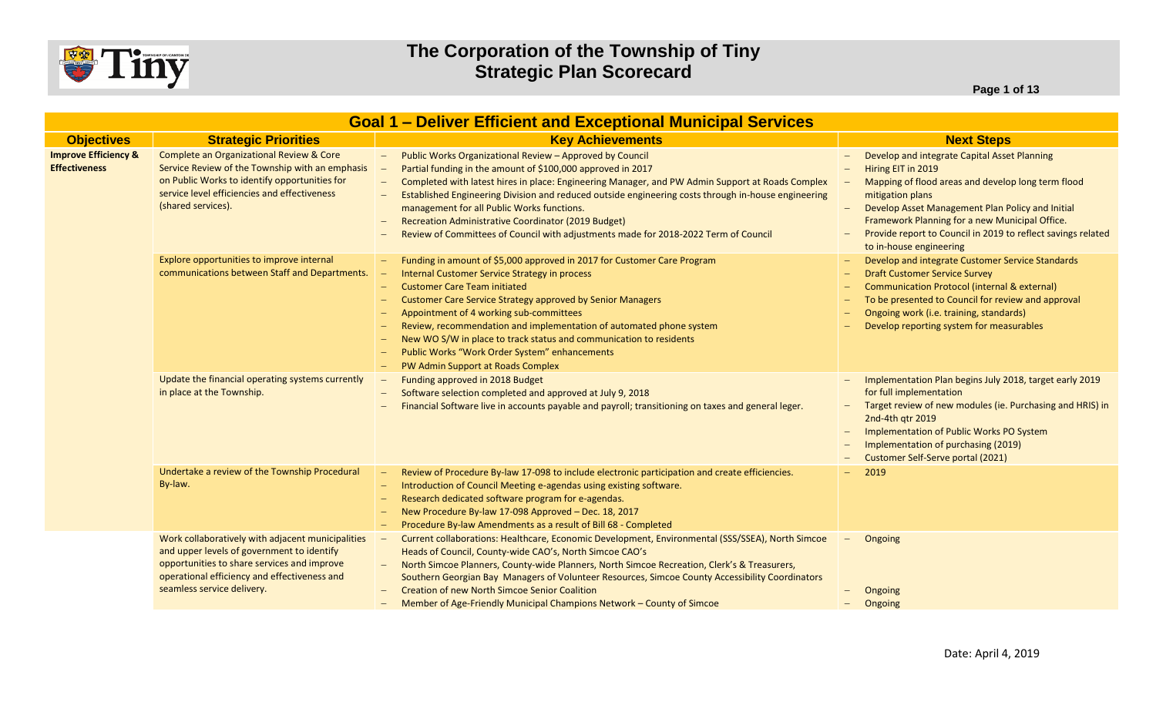

**Page 1 of 13**

| <b>Goal 1 - Deliver Efficient and Exceptional Municipal Services</b> |                                                                                                                                                                                                                              |                                                                                                                                                                                                                                                                                                                                                                                                                                                                                                                                                     |                                                                                                                                                                                                                                                                                                                                                      |  |  |
|----------------------------------------------------------------------|------------------------------------------------------------------------------------------------------------------------------------------------------------------------------------------------------------------------------|-----------------------------------------------------------------------------------------------------------------------------------------------------------------------------------------------------------------------------------------------------------------------------------------------------------------------------------------------------------------------------------------------------------------------------------------------------------------------------------------------------------------------------------------------------|------------------------------------------------------------------------------------------------------------------------------------------------------------------------------------------------------------------------------------------------------------------------------------------------------------------------------------------------------|--|--|
| <b>Objectives</b>                                                    | <b>Strategic Priorities</b>                                                                                                                                                                                                  | <b>Key Achievements</b>                                                                                                                                                                                                                                                                                                                                                                                                                                                                                                                             | <b>Next Steps</b>                                                                                                                                                                                                                                                                                                                                    |  |  |
| <b>Improve Efficiency &amp;</b><br><b>Effectiveness</b>              | Complete an Organizational Review & Core<br>Service Review of the Township with an emphasis<br>on Public Works to identify opportunities for<br>service level efficiencies and effectiveness<br>(shared services).           | Public Works Organizational Review - Approved by Council<br>$ \,$<br>Partial funding in the amount of \$100,000 approved in 2017<br>Completed with latest hires in place: Engineering Manager, and PW Admin Support at Roads Complex<br>$\equiv$<br>Established Engineering Division and reduced outside engineering costs through in-house engineering<br>management for all Public Works functions.<br>Recreation Administrative Coordinator (2019 Budget)<br>Review of Committees of Council with adjustments made for 2018-2022 Term of Council | Develop and integrate Capital Asset Planning<br>Hiring EIT in 2019<br>Mapping of flood areas and develop long term flood<br>mitigation plans<br>Develop Asset Management Plan Policy and Initial<br>$-$<br>Framework Planning for a new Municipal Office.<br>Provide report to Council in 2019 to reflect savings related<br>to in-house engineering |  |  |
|                                                                      | Explore opportunities to improve internal<br>communications between Staff and Departments.                                                                                                                                   | Funding in amount of \$5,000 approved in 2017 for Customer Care Program<br>Internal Customer Service Strategy in process<br><b>Customer Care Team initiated</b><br>$\overline{\phantom{a}}$<br>Customer Care Service Strategy approved by Senior Managers<br>Appointment of 4 working sub-committees<br>Review, recommendation and implementation of automated phone system<br>New WO S/W in place to track status and communication to residents<br>Public Works "Work Order System" enhancements<br>PW Admin Support at Roads Complex             | Develop and integrate Customer Service Standards<br><b>Draft Customer Service Survey</b><br><b>Communication Protocol (internal &amp; external)</b><br>To be presented to Council for review and approval<br>Ongoing work (i.e. training, standards)<br>Develop reporting system for measurables                                                     |  |  |
|                                                                      | Update the financial operating systems currently<br>in place at the Township.                                                                                                                                                | Funding approved in 2018 Budget<br>Software selection completed and approved at July 9, 2018<br>Financial Software live in accounts payable and payroll; transitioning on taxes and general leger.                                                                                                                                                                                                                                                                                                                                                  | Implementation Plan begins July 2018, target early 2019<br>for full implementation<br>Target review of new modules (ie. Purchasing and HRIS) in<br>2nd-4th gtr 2019<br>Implementation of Public Works PO System<br>Implementation of purchasing (2019)<br>Customer Self-Serve portal (2021)                                                          |  |  |
|                                                                      | Undertake a review of the Township Procedural<br>By-law.                                                                                                                                                                     | Review of Procedure By-law 17-098 to include electronic participation and create efficiencies.<br>Introduction of Council Meeting e-agendas using existing software.<br>$\overline{\phantom{0}}$<br>Research dedicated software program for e-agendas.<br>New Procedure By-law 17-098 Approved - Dec. 18, 2017<br>Procedure By-law Amendments as a result of Bill 68 - Completed                                                                                                                                                                    | 2019                                                                                                                                                                                                                                                                                                                                                 |  |  |
|                                                                      | Work collaboratively with adjacent municipalities<br>and upper levels of government to identify<br>opportunities to share services and improve<br>operational efficiency and effectiveness and<br>seamless service delivery. | Current collaborations: Healthcare, Economic Development, Environmental (SSS/SSEA), North Simcoe<br>Heads of Council, County-wide CAO's, North Simcoe CAO's<br>North Simcoe Planners, County-wide Planners, North Simcoe Recreation, Clerk's & Treasurers,<br>Southern Georgian Bay Managers of Volunteer Resources, Simcoe County Accessibility Coordinators<br><b>Creation of new North Simcoe Senior Coalition</b><br>Member of Age-Friendly Municipal Champions Network - County of Simcoe                                                      | Ongoing<br>$\overline{\phantom{m}}$<br>Ongoing<br>Ongoing                                                                                                                                                                                                                                                                                            |  |  |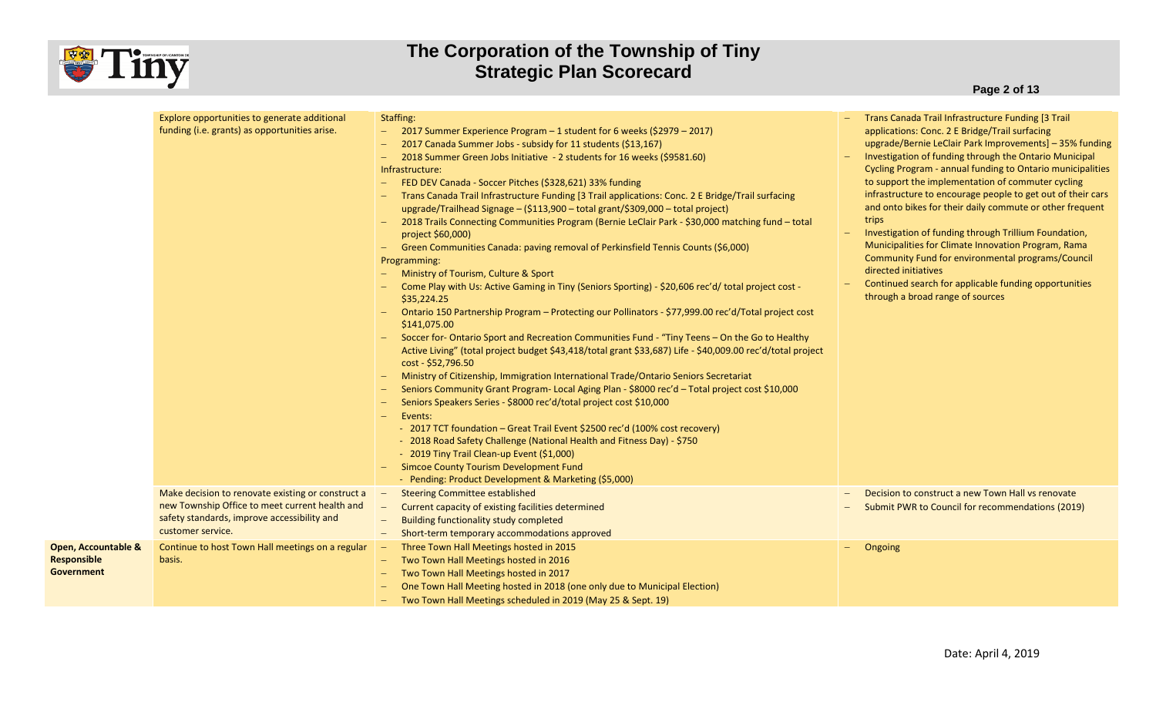

|                                                                    | Explore opportunities to generate additional<br>funding (i.e. grants) as opportunities arise.<br>Make decision to renovate existing or construct a<br>new Township Office to meet current health and<br>safety standards, improve accessibility and<br>customer service. | Staffing:<br>2017 Summer Experience Program – 1 student for 6 weeks (\$2979 – 2017)<br>$\equiv$<br>2017 Canada Summer Jobs - subsidy for 11 students (\$13,167)<br>2018 Summer Green Jobs Initiative - 2 students for 16 weeks (\$9581.60)<br>$-$<br>Infrastructure:<br>FED DEV Canada - Soccer Pitches (\$328,621) 33% funding<br>$\qquad \qquad -$<br>Trans Canada Trail Infrastructure Funding [3 Trail applications: Conc. 2 E Bridge/Trail surfacing<br>upgrade/Trailhead Signage - (\$113,900 - total grant/\$309,000 - total project)<br>2018 Trails Connecting Communities Program (Bernie LeClair Park - \$30,000 matching fund - total<br>project \$60,000)<br>Green Communities Canada: paving removal of Perkinsfield Tennis Counts (\$6,000)<br>$\qquad \qquad -$<br>Programming:<br>Ministry of Tourism, Culture & Sport<br>Come Play with Us: Active Gaming in Tiny (Seniors Sporting) - \$20,606 rec'd/ total project cost -<br>\$35,224.25<br>Ontario 150 Partnership Program - Protecting our Pollinators - \$77,999.00 rec'd/Total project cost<br>\$141,075.00<br>Soccer for-Ontario Sport and Recreation Communities Fund - "Tiny Teens - On the Go to Healthy<br>Active Living" (total project budget \$43,418/total grant \$33,687) Life - \$40,009.00 rec'd/total project<br>cost - \$52,796.50<br>Ministry of Citizenship, Immigration International Trade/Ontario Seniors Secretariat<br>$\qquad \qquad -$<br>Seniors Community Grant Program- Local Aging Plan - \$8000 rec'd - Total project cost \$10,000<br>Seniors Speakers Series - \$8000 rec'd/total project cost \$10,000<br>Events:<br>- 2017 TCT foundation – Great Trail Event \$2500 rec'd (100% cost recovery)<br>- 2018 Road Safety Challenge (National Health and Fitness Day) - \$750<br>- 2019 Tiny Trail Clean-up Event (\$1,000)<br><b>Simcoe County Tourism Development Fund</b><br>- Pending: Product Development & Marketing (\$5,000)<br><b>Steering Committee established</b><br>Current capacity of existing facilities determined<br><b>Building functionality study completed</b><br>Short-term temporary accommodations approved | Trans Canada Trail Infrastructure Funding [3 Trail<br>applications: Conc. 2 E Bridge/Trail surfacing<br>upgrade/Bernie LeClair Park Improvements] - 35% funding<br>Investigation of funding through the Ontario Municipal<br>Cycling Program - annual funding to Ontario municipalities<br>to support the implementation of commuter cycling<br>infrastructure to encourage people to get out of their cars<br>and onto bikes for their daily commute or other frequent<br>trips<br>Investigation of funding through Trillium Foundation,<br>Municipalities for Climate Innovation Program, Rama<br>Community Fund for environmental programs/Council<br>directed initiatives<br>Continued search for applicable funding opportunities<br>through a broad range of sources<br>Decision to construct a new Town Hall vs renovate<br>Submit PWR to Council for recommendations (2019) |
|--------------------------------------------------------------------|--------------------------------------------------------------------------------------------------------------------------------------------------------------------------------------------------------------------------------------------------------------------------|-----------------------------------------------------------------------------------------------------------------------------------------------------------------------------------------------------------------------------------------------------------------------------------------------------------------------------------------------------------------------------------------------------------------------------------------------------------------------------------------------------------------------------------------------------------------------------------------------------------------------------------------------------------------------------------------------------------------------------------------------------------------------------------------------------------------------------------------------------------------------------------------------------------------------------------------------------------------------------------------------------------------------------------------------------------------------------------------------------------------------------------------------------------------------------------------------------------------------------------------------------------------------------------------------------------------------------------------------------------------------------------------------------------------------------------------------------------------------------------------------------------------------------------------------------------------------------------------------------------------------------------------------------------------------------------------------------------------------------------------------------------------------------------------------------------------------------------------------------------------------------------------------------------------------------------------------------------------------------------------------------------------------------------------------------------------------------------------------------------------------------------------|-------------------------------------------------------------------------------------------------------------------------------------------------------------------------------------------------------------------------------------------------------------------------------------------------------------------------------------------------------------------------------------------------------------------------------------------------------------------------------------------------------------------------------------------------------------------------------------------------------------------------------------------------------------------------------------------------------------------------------------------------------------------------------------------------------------------------------------------------------------------------------------|
| <b>Open, Accountable &amp;</b><br>Responsible<br><b>Government</b> | Continue to host Town Hall meetings on a regular<br>basis.                                                                                                                                                                                                               | Three Town Hall Meetings hosted in 2015<br>Two Town Hall Meetings hosted in 2016<br>Two Town Hall Meetings hosted in 2017<br>One Town Hall Meeting hosted in 2018 (one only due to Municipal Election)<br>Two Town Hall Meetings scheduled in 2019 (May 25 & Sept. 19)                                                                                                                                                                                                                                                                                                                                                                                                                                                                                                                                                                                                                                                                                                                                                                                                                                                                                                                                                                                                                                                                                                                                                                                                                                                                                                                                                                                                                                                                                                                                                                                                                                                                                                                                                                                                                                                                  | Ongoing                                                                                                                                                                                                                                                                                                                                                                                                                                                                                                                                                                                                                                                                                                                                                                                                                                                                             |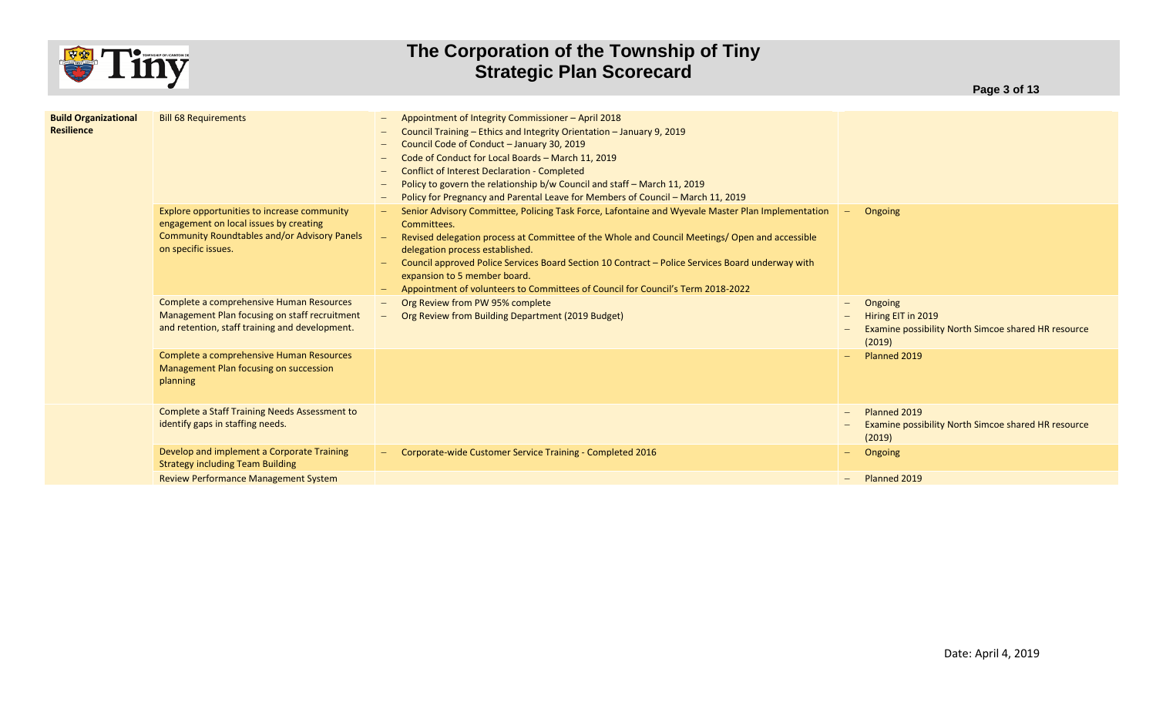

| <b>Build Organizational</b><br><b>Resilience</b> | <b>Bill 68 Requirements</b>                                                                                                                                         | Appointment of Integrity Commissioner - April 2018<br>$\hspace{0.1mm}-\hspace{0.1mm}$<br>Council Training - Ethics and Integrity Orientation - January 9, 2019<br>Council Code of Conduct - January 30, 2019<br>Code of Conduct for Local Boards - March 11, 2019<br>$\overline{\phantom{0}}$<br><b>Conflict of Interest Declaration - Completed</b><br>$\overline{\phantom{0}}$<br>Policy to govern the relationship b/w Council and staff - March 11, 2019<br>Policy for Pregnancy and Parental Leave for Members of Council - March 11, 2019<br>$\qquad \qquad -$ |                                                                                                                     |
|--------------------------------------------------|---------------------------------------------------------------------------------------------------------------------------------------------------------------------|----------------------------------------------------------------------------------------------------------------------------------------------------------------------------------------------------------------------------------------------------------------------------------------------------------------------------------------------------------------------------------------------------------------------------------------------------------------------------------------------------------------------------------------------------------------------|---------------------------------------------------------------------------------------------------------------------|
|                                                  | Explore opportunities to increase community<br>engagement on local issues by creating<br><b>Community Roundtables and/or Advisory Panels</b><br>on specific issues. | Senior Advisory Committee, Policing Task Force, Lafontaine and Wyevale Master Plan Implementation<br>Committees.<br>Revised delegation process at Committee of the Whole and Council Meetings/ Open and accessible<br>delegation process established.<br>Council approved Police Services Board Section 10 Contract – Police Services Board underway with<br>expansion to 5 member board.<br>Appointment of volunteers to Committees of Council for Council's Term 2018-2022                                                                                         | Ongoing<br>$\hspace{0.1mm}-\hspace{0.1mm}$                                                                          |
|                                                  | Complete a comprehensive Human Resources<br>Management Plan focusing on staff recruitment<br>and retention, staff training and development.                         | Org Review from PW 95% complete<br>$\overline{\phantom{m}}$<br>Org Review from Building Department (2019 Budget)                                                                                                                                                                                                                                                                                                                                                                                                                                                     | Ongoing<br>$\qquad \qquad -$<br>Hiring EIT in 2019<br>Examine possibility North Simcoe shared HR resource<br>(2019) |
|                                                  | Complete a comprehensive Human Resources<br>Management Plan focusing on succession<br>planning                                                                      |                                                                                                                                                                                                                                                                                                                                                                                                                                                                                                                                                                      | Planned 2019                                                                                                        |
|                                                  | <b>Complete a Staff Training Needs Assessment to</b><br>identify gaps in staffing needs.                                                                            |                                                                                                                                                                                                                                                                                                                                                                                                                                                                                                                                                                      | Planned 2019<br>Examine possibility North Simcoe shared HR resource<br>(2019)                                       |
|                                                  | Develop and implement a Corporate Training<br><b>Strategy including Team Building</b>                                                                               | Corporate-wide Customer Service Training - Completed 2016                                                                                                                                                                                                                                                                                                                                                                                                                                                                                                            | Ongoing                                                                                                             |
|                                                  | <b>Review Performance Management System</b>                                                                                                                         |                                                                                                                                                                                                                                                                                                                                                                                                                                                                                                                                                                      | Planned 2019<br>$-$                                                                                                 |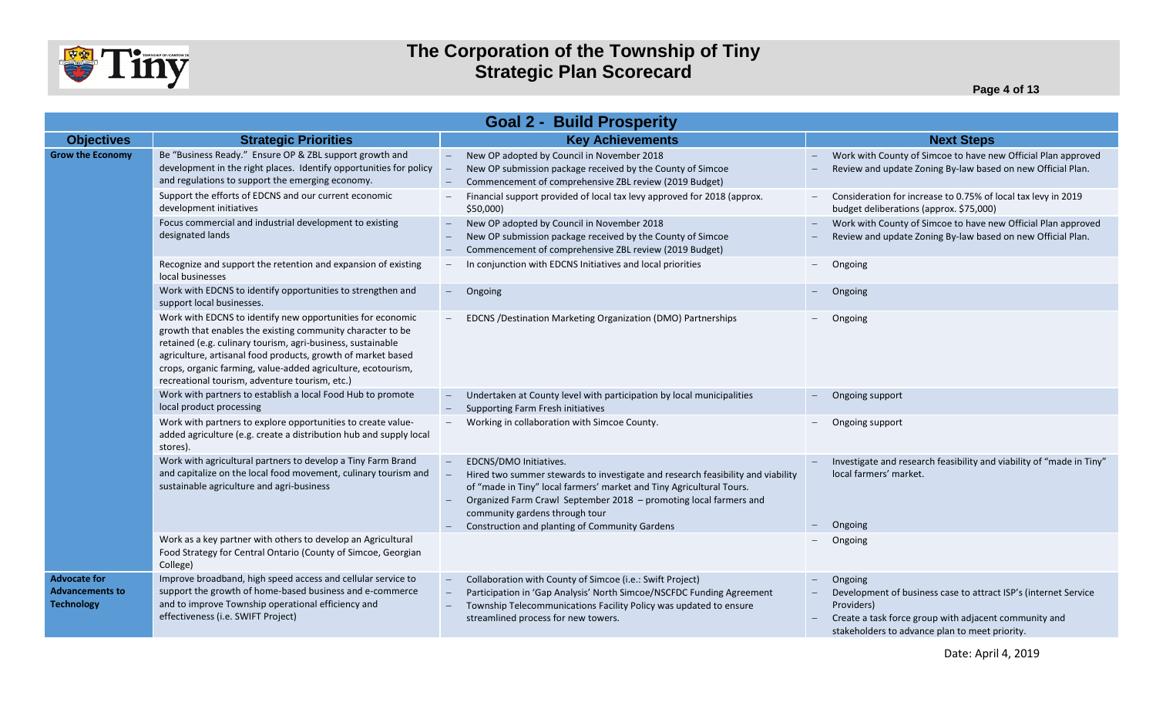

**Page 4 of 13**

| <b>Goal 2 - Build Prosperity</b>                                   |                                                                                                                                                                                                                                                                                                                                                                           |                                                                                                                                                                                                                                                                                          |                                                                                                                                                                                                     |  |  |  |
|--------------------------------------------------------------------|---------------------------------------------------------------------------------------------------------------------------------------------------------------------------------------------------------------------------------------------------------------------------------------------------------------------------------------------------------------------------|------------------------------------------------------------------------------------------------------------------------------------------------------------------------------------------------------------------------------------------------------------------------------------------|-----------------------------------------------------------------------------------------------------------------------------------------------------------------------------------------------------|--|--|--|
| <b>Objectives</b>                                                  | <b>Strategic Priorities</b>                                                                                                                                                                                                                                                                                                                                               | <b>Key Achievements</b>                                                                                                                                                                                                                                                                  | <b>Next Steps</b>                                                                                                                                                                                   |  |  |  |
| <b>Grow the Economy</b>                                            | Be "Business Ready." Ensure OP & ZBL support growth and<br>development in the right places. Identify opportunities for policy<br>and regulations to support the emerging economy.                                                                                                                                                                                         | New OP adopted by Council in November 2018<br>New OP submission package received by the County of Simcoe<br>Commencement of comprehensive ZBL review (2019 Budget)                                                                                                                       | Work with County of Simcoe to have new Official Plan approved<br>Review and update Zoning By-law based on new Official Plan.                                                                        |  |  |  |
|                                                                    | Support the efforts of EDCNS and our current economic<br>development initiatives                                                                                                                                                                                                                                                                                          | Financial support provided of local tax levy approved for 2018 (approx.<br>\$50,000                                                                                                                                                                                                      | Consideration for increase to 0.75% of local tax levy in 2019<br>budget deliberations (approx. \$75,000)                                                                                            |  |  |  |
|                                                                    | Focus commercial and industrial development to existing<br>designated lands                                                                                                                                                                                                                                                                                               | New OP adopted by Council in November 2018<br>$ \,$<br>New OP submission package received by the County of Simcoe<br>Commencement of comprehensive ZBL review (2019 Budget)                                                                                                              | Work with County of Simcoe to have new Official Plan approved<br>Review and update Zoning By-law based on new Official Plan.                                                                        |  |  |  |
|                                                                    | Recognize and support the retention and expansion of existing<br>local businesses                                                                                                                                                                                                                                                                                         | In conjunction with EDCNS Initiatives and local priorities<br>$-$                                                                                                                                                                                                                        | Ongoing                                                                                                                                                                                             |  |  |  |
|                                                                    | Work with EDCNS to identify opportunities to strengthen and<br>support local businesses.                                                                                                                                                                                                                                                                                  | Ongoing<br>$\sim$                                                                                                                                                                                                                                                                        | Ongoing                                                                                                                                                                                             |  |  |  |
|                                                                    | Work with EDCNS to identify new opportunities for economic<br>growth that enables the existing community character to be<br>retained (e.g. culinary tourism, agri-business, sustainable<br>agriculture, artisanal food products, growth of market based<br>crops, organic farming, value-added agriculture, ecotourism,<br>recreational tourism, adventure tourism, etc.) | EDCNS / Destination Marketing Organization (DMO) Partnerships                                                                                                                                                                                                                            | Ongoing                                                                                                                                                                                             |  |  |  |
|                                                                    | Work with partners to establish a local Food Hub to promote<br>local product processing                                                                                                                                                                                                                                                                                   | Undertaken at County level with participation by local municipalities<br>Supporting Farm Fresh initiatives                                                                                                                                                                               | Ongoing support                                                                                                                                                                                     |  |  |  |
|                                                                    | Work with partners to explore opportunities to create value-<br>added agriculture (e.g. create a distribution hub and supply local<br>stores).                                                                                                                                                                                                                            | Working in collaboration with Simcoe County.                                                                                                                                                                                                                                             | Ongoing support                                                                                                                                                                                     |  |  |  |
|                                                                    | Work with agricultural partners to develop a Tiny Farm Brand<br>and capitalize on the local food movement, culinary tourism and<br>sustainable agriculture and agri-business                                                                                                                                                                                              | EDCNS/DMO Initiatives.<br>Hired two summer stewards to investigate and research feasibility and viability<br>of "made in Tiny" local farmers' market and Tiny Agricultural Tours.<br>Organized Farm Crawl September 2018 - promoting local farmers and<br>community gardens through tour | Investigate and research feasibility and viability of "made in Tiny"<br>local farmers' market.                                                                                                      |  |  |  |
|                                                                    | Work as a key partner with others to develop an Agricultural<br>Food Strategy for Central Ontario (County of Simcoe, Georgian<br>College)                                                                                                                                                                                                                                 | Construction and planting of Community Gardens                                                                                                                                                                                                                                           | Ongoing<br>Ongoing                                                                                                                                                                                  |  |  |  |
| <b>Advocate for</b><br><b>Advancements to</b><br><b>Technology</b> | Improve broadband, high speed access and cellular service to<br>support the growth of home-based business and e-commerce<br>and to improve Township operational efficiency and<br>effectiveness (i.e. SWIFT Project)                                                                                                                                                      | Collaboration with County of Simcoe (i.e.: Swift Project)<br>Participation in 'Gap Analysis' North Simcoe/NSCFDC Funding Agreement<br>Township Telecommunications Facility Policy was updated to ensure<br>streamlined process for new towers.                                           | Ongoing<br>Development of business case to attract ISP's (internet Service<br>Providers)<br>Create a task force group with adjacent community and<br>stakeholders to advance plan to meet priority. |  |  |  |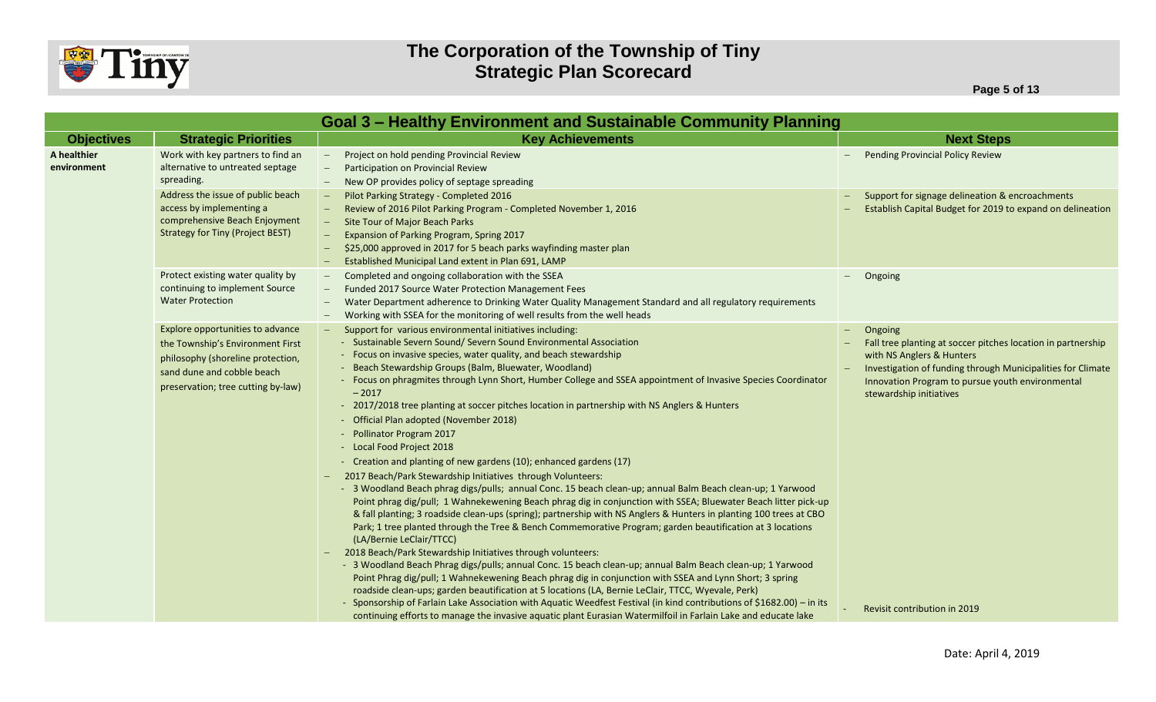

**Page 5 of 13**

|                            | <b>Goal 3 - Healthy Environment and Sustainable Community Planning</b>                                                                                                        |                                                                                                                                                                                                                                                                                                                                                                                                                                                                                                                                                                                                                                                                                                                                                                                                                                                                                                                                                                                                                                                                                                                                                                                                                                                                                                                                                                                                                                                                                                                                                                                                                                   |                                                                                                                                                                                                                                                    |  |  |
|----------------------------|-------------------------------------------------------------------------------------------------------------------------------------------------------------------------------|-----------------------------------------------------------------------------------------------------------------------------------------------------------------------------------------------------------------------------------------------------------------------------------------------------------------------------------------------------------------------------------------------------------------------------------------------------------------------------------------------------------------------------------------------------------------------------------------------------------------------------------------------------------------------------------------------------------------------------------------------------------------------------------------------------------------------------------------------------------------------------------------------------------------------------------------------------------------------------------------------------------------------------------------------------------------------------------------------------------------------------------------------------------------------------------------------------------------------------------------------------------------------------------------------------------------------------------------------------------------------------------------------------------------------------------------------------------------------------------------------------------------------------------------------------------------------------------------------------------------------------------|----------------------------------------------------------------------------------------------------------------------------------------------------------------------------------------------------------------------------------------------------|--|--|
| <b>Objectives</b>          | <b>Strategic Priorities</b>                                                                                                                                                   | <b>Key Achievements</b>                                                                                                                                                                                                                                                                                                                                                                                                                                                                                                                                                                                                                                                                                                                                                                                                                                                                                                                                                                                                                                                                                                                                                                                                                                                                                                                                                                                                                                                                                                                                                                                                           | <b>Next Steps</b>                                                                                                                                                                                                                                  |  |  |
| A healthier<br>environment | Work with key partners to find an<br>alternative to untreated septage<br>spreading.                                                                                           | Project on hold pending Provincial Review<br>Participation on Provincial Review<br>New OP provides policy of septage spreading                                                                                                                                                                                                                                                                                                                                                                                                                                                                                                                                                                                                                                                                                                                                                                                                                                                                                                                                                                                                                                                                                                                                                                                                                                                                                                                                                                                                                                                                                                    | <b>Pending Provincial Policy Review</b>                                                                                                                                                                                                            |  |  |
|                            | Address the issue of public beach<br>access by implementing a<br>comprehensive Beach Enjoyment<br><b>Strategy for Tiny (Project BEST)</b>                                     | Pilot Parking Strategy - Completed 2016<br>Review of 2016 Pilot Parking Program - Completed November 1, 2016<br>Site Tour of Major Beach Parks<br>Expansion of Parking Program, Spring 2017<br>\$25,000 approved in 2017 for 5 beach parks wayfinding master plan<br>Established Municipal Land extent in Plan 691, LAMP                                                                                                                                                                                                                                                                                                                                                                                                                                                                                                                                                                                                                                                                                                                                                                                                                                                                                                                                                                                                                                                                                                                                                                                                                                                                                                          | Support for signage delineation & encroachments<br>Establish Capital Budget for 2019 to expand on delineation                                                                                                                                      |  |  |
|                            | Protect existing water quality by<br>continuing to implement Source<br><b>Water Protection</b>                                                                                | Completed and ongoing collaboration with the SSEA<br>Funded 2017 Source Water Protection Management Fees<br>Water Department adherence to Drinking Water Quality Management Standard and all regulatory requirements<br>Working with SSEA for the monitoring of well results from the well heads                                                                                                                                                                                                                                                                                                                                                                                                                                                                                                                                                                                                                                                                                                                                                                                                                                                                                                                                                                                                                                                                                                                                                                                                                                                                                                                                  | Ongoing                                                                                                                                                                                                                                            |  |  |
|                            | Explore opportunities to advance<br>the Township's Environment First<br>philosophy (shoreline protection,<br>sand dune and cobble beach<br>preservation; tree cutting by-law) | Support for various environmental initiatives including:<br>- Sustainable Severn Sound/ Severn Sound Environmental Association<br>- Focus on invasive species, water quality, and beach stewardship<br>- Beach Stewardship Groups (Balm, Bluewater, Woodland)<br>- Focus on phragmites through Lynn Short, Humber College and SSEA appointment of Invasive Species Coordinator<br>$-2017$<br>- 2017/2018 tree planting at soccer pitches location in partnership with NS Anglers & Hunters<br>- Official Plan adopted (November 2018)<br>- Pollinator Program 2017<br>- Local Food Project 2018<br>- Creation and planting of new gardens (10); enhanced gardens (17)<br>2017 Beach/Park Stewardship Initiatives through Volunteers:<br>- 3 Woodland Beach phrag digs/pulls; annual Conc. 15 beach clean-up; annual Balm Beach clean-up; 1 Yarwood<br>Point phrag dig/pull; 1 Wahnekewening Beach phrag dig in conjunction with SSEA; Bluewater Beach litter pick-up<br>& fall planting; 3 roadside clean-ups (spring); partnership with NS Anglers & Hunters in planting 100 trees at CBO<br>Park; 1 tree planted through the Tree & Bench Commemorative Program; garden beautification at 3 locations<br>(LA/Bernie LeClair/TTCC)<br>2018 Beach/Park Stewardship Initiatives through volunteers:<br>- 3 Woodland Beach Phrag digs/pulls; annual Conc. 15 beach clean-up; annual Balm Beach clean-up; 1 Yarwood<br>Point Phrag dig/pull; 1 Wahnekewening Beach phrag dig in conjunction with SSEA and Lynn Short; 3 spring<br>roadside clean-ups; garden beautification at 5 locations (LA, Bernie LeClair, TTCC, Wyevale, Perk) | Ongoing<br>Fall tree planting at soccer pitches location in partnership<br>with NS Anglers & Hunters<br>Investigation of funding through Municipalities for Climate<br>Innovation Program to pursue youth environmental<br>stewardship initiatives |  |  |
|                            |                                                                                                                                                                               | - Sponsorship of Farlain Lake Association with Aquatic Weedfest Festival (in kind contributions of \$1682.00) - in its<br>continuing efforts to manage the invasive aquatic plant Eurasian Watermilfoil in Farlain Lake and educate lake                                                                                                                                                                                                                                                                                                                                                                                                                                                                                                                                                                                                                                                                                                                                                                                                                                                                                                                                                                                                                                                                                                                                                                                                                                                                                                                                                                                          | Revisit contribution in 2019                                                                                                                                                                                                                       |  |  |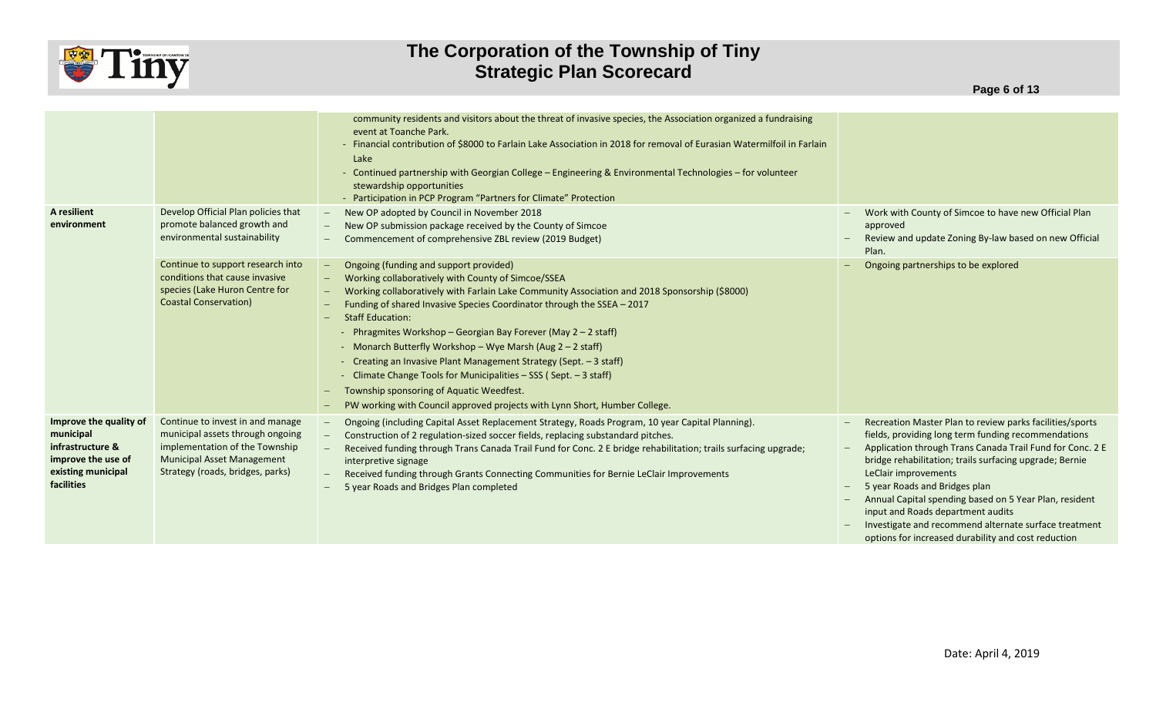

|                                                                                                                   |                                                                                                                                                                                 | community residents and visitors about the threat of invasive species, the Association organized a fundraising<br>event at Toanche Park.<br>- Financial contribution of \$8000 to Farlain Lake Association in 2018 for removal of Eurasian Watermilfoil in Farlain<br>Lake<br>- Continued partnership with Georgian College - Engineering & Environmental Technologies - for volunteer<br>stewardship opportunities<br>- Participation in PCP Program "Partners for Climate" Protection                                                                                                                                                                                                                 |                                                                                                                                                                                                                                                                                                                                                                                                                                                                                                                 |
|-------------------------------------------------------------------------------------------------------------------|---------------------------------------------------------------------------------------------------------------------------------------------------------------------------------|---------------------------------------------------------------------------------------------------------------------------------------------------------------------------------------------------------------------------------------------------------------------------------------------------------------------------------------------------------------------------------------------------------------------------------------------------------------------------------------------------------------------------------------------------------------------------------------------------------------------------------------------------------------------------------------------------------|-----------------------------------------------------------------------------------------------------------------------------------------------------------------------------------------------------------------------------------------------------------------------------------------------------------------------------------------------------------------------------------------------------------------------------------------------------------------------------------------------------------------|
| A resilient<br>environment                                                                                        | Develop Official Plan policies that<br>promote balanced growth and<br>environmental sustainability                                                                              | New OP adopted by Council in November 2018<br>New OP submission package received by the County of Simcoe<br>Commencement of comprehensive ZBL review (2019 Budget)                                                                                                                                                                                                                                                                                                                                                                                                                                                                                                                                      | Work with County of Simcoe to have new Official Plan<br>approved<br>Review and update Zoning By-law based on new Official<br>Plan.                                                                                                                                                                                                                                                                                                                                                                              |
|                                                                                                                   | Continue to support research into<br>conditions that cause invasive<br>species (Lake Huron Centre for<br><b>Coastal Conservation)</b>                                           | Ongoing (funding and support provided)<br>Working collaboratively with County of Simcoe/SSEA<br>Working collaboratively with Farlain Lake Community Association and 2018 Sponsorship (\$8000)<br>Funding of shared Invasive Species Coordinator through the SSEA - 2017<br><b>Staff Education:</b><br>- Phragmites Workshop – Georgian Bay Forever (May 2 – 2 staff)<br>- Monarch Butterfly Workshop - Wye Marsh (Aug 2 - 2 staff)<br>- Creating an Invasive Plant Management Strategy (Sept. - 3 staff)<br>- Climate Change Tools for Municipalities - SSS (Sept. - 3 staff)<br>Township sponsoring of Aquatic Weedfest.<br>PW working with Council approved projects with Lynn Short, Humber College. | Ongoing partnerships to be explored                                                                                                                                                                                                                                                                                                                                                                                                                                                                             |
| Improve the quality of<br>municipal<br>infrastructure &<br>improve the use of<br>existing municipal<br>facilities | Continue to invest in and manage<br>municipal assets through ongoing<br>implementation of the Township<br><b>Municipal Asset Management</b><br>Strategy (roads, bridges, parks) | Ongoing (including Capital Asset Replacement Strategy, Roads Program, 10 year Capital Planning).<br>Construction of 2 regulation-sized soccer fields, replacing substandard pitches.<br>Received funding through Trans Canada Trail Fund for Conc. 2 E bridge rehabilitation; trails surfacing upgrade;<br>interpretive signage<br>Received funding through Grants Connecting Communities for Bernie LeClair Improvements<br>5 year Roads and Bridges Plan completed                                                                                                                                                                                                                                    | Recreation Master Plan to review parks facilities/sports<br>fields, providing long term funding recommendations<br>Application through Trans Canada Trail Fund for Conc. 2 E<br>bridge rehabilitation; trails surfacing upgrade; Bernie<br>LeClair improvements<br>5 year Roads and Bridges plan<br>Annual Capital spending based on 5 Year Plan, resident<br>input and Roads department audits<br>Investigate and recommend alternate surface treatment<br>options for increased durability and cost reduction |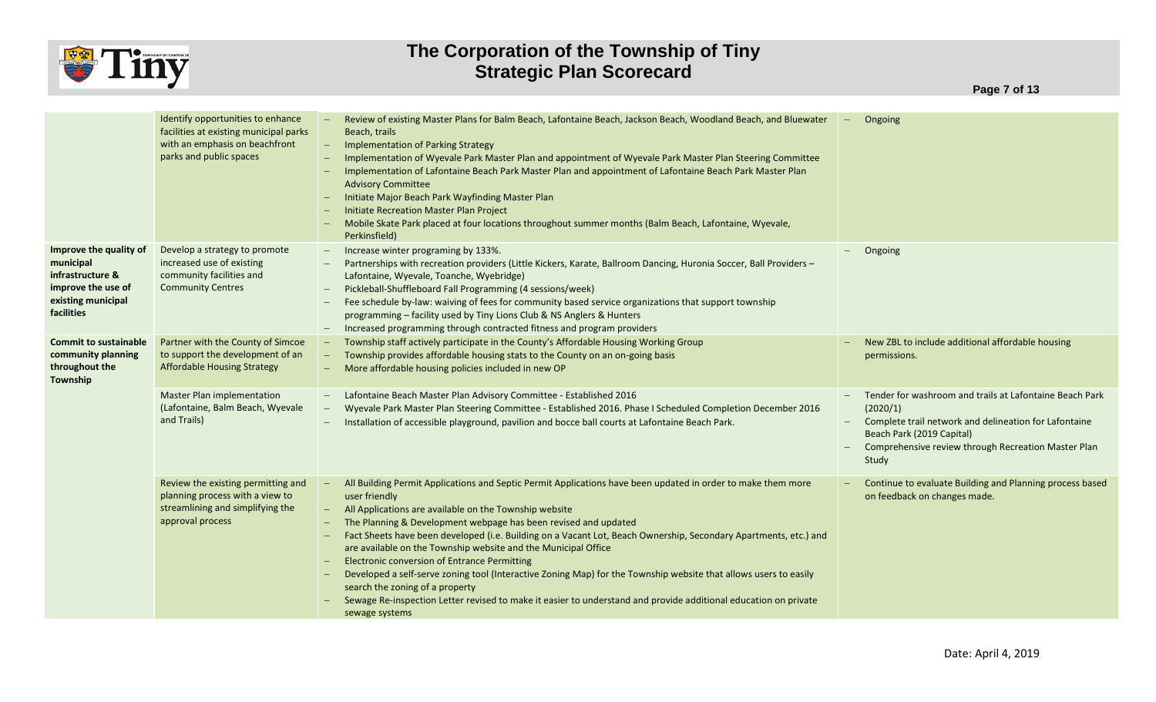

|                                                                                                                   | Identify opportunities to enhance<br>facilities at existing municipal parks<br>with an emphasis on beachfront<br>parks and public spaces | Review of existing Master Plans for Balm Beach, Lafontaine Beach, Jackson Beach, Woodland Beach, and Bluewater<br>Beach, trails<br><b>Implementation of Parking Strategy</b><br>Implementation of Wyevale Park Master Plan and appointment of Wyevale Park Master Plan Steering Committee<br>Implementation of Lafontaine Beach Park Master Plan and appointment of Lafontaine Beach Park Master Plan<br><b>Advisory Committee</b><br>Initiate Major Beach Park Wayfinding Master Plan<br>Initiate Recreation Master Plan Project<br>Mobile Skate Park placed at four locations throughout summer months (Balm Beach, Lafontaine, Wyevale,<br>Perkinsfield)                                                                                                                                         | Ongoing<br>$-$                                                                                                                                                                                                            |
|-------------------------------------------------------------------------------------------------------------------|------------------------------------------------------------------------------------------------------------------------------------------|-----------------------------------------------------------------------------------------------------------------------------------------------------------------------------------------------------------------------------------------------------------------------------------------------------------------------------------------------------------------------------------------------------------------------------------------------------------------------------------------------------------------------------------------------------------------------------------------------------------------------------------------------------------------------------------------------------------------------------------------------------------------------------------------------------|---------------------------------------------------------------------------------------------------------------------------------------------------------------------------------------------------------------------------|
| Improve the quality of<br>municipal<br>infrastructure &<br>improve the use of<br>existing municipal<br>facilities | Develop a strategy to promote<br>increased use of existing<br>community facilities and<br><b>Community Centres</b>                       | Increase winter programing by 133%.<br>$-$<br>Partnerships with recreation providers (Little Kickers, Karate, Ballroom Dancing, Huronia Soccer, Ball Providers -<br>Lafontaine, Wyevale, Toanche, Wyebridge)<br>Pickleball-Shuffleboard Fall Programming (4 sessions/week)<br>Fee schedule by-law: waiving of fees for community based service organizations that support township<br>programming - facility used by Tiny Lions Club & NS Anglers & Hunters<br>Increased programming through contracted fitness and program providers                                                                                                                                                                                                                                                               | Ongoing                                                                                                                                                                                                                   |
| <b>Commit to sustainable</b><br>community planning<br>throughout the<br>Township                                  | Partner with the County of Simcoe<br>to support the development of an<br><b>Affordable Housing Strategy</b>                              | Township staff actively participate in the County's Affordable Housing Working Group<br>Township provides affordable housing stats to the County on an on-going basis<br>More affordable housing policies included in new OP                                                                                                                                                                                                                                                                                                                                                                                                                                                                                                                                                                        | New ZBL to include additional affordable housing<br>permissions.                                                                                                                                                          |
|                                                                                                                   | <b>Master Plan implementation</b><br>(Lafontaine, Balm Beach, Wyevale<br>and Trails)                                                     | Lafontaine Beach Master Plan Advisory Committee - Established 2016<br>$\overline{\phantom{m}}$<br>Wyevale Park Master Plan Steering Committee - Established 2016. Phase I Scheduled Completion December 2016<br>Installation of accessible playground, pavilion and bocce ball courts at Lafontaine Beach Park.                                                                                                                                                                                                                                                                                                                                                                                                                                                                                     | Tender for washroom and trails at Lafontaine Beach Park<br>(2020/1)<br>Complete trail network and delineation for Lafontaine<br>Beach Park (2019 Capital)<br>Comprehensive review through Recreation Master Plan<br>Study |
|                                                                                                                   | Review the existing permitting and<br>planning process with a view to<br>streamlining and simplifying the<br>approval process            | All Building Permit Applications and Septic Permit Applications have been updated in order to make them more<br>user friendly<br>All Applications are available on the Township website<br>The Planning & Development webpage has been revised and updated<br>Fact Sheets have been developed (i.e. Building on a Vacant Lot, Beach Ownership, Secondary Apartments, etc.) and<br>are available on the Township website and the Municipal Office<br><b>Electronic conversion of Entrance Permitting</b><br>Developed a self-serve zoning tool (Interactive Zoning Map) for the Township website that allows users to easily<br>search the zoning of a property<br>Sewage Re-inspection Letter revised to make it easier to understand and provide additional education on private<br>sewage systems | Continue to evaluate Building and Planning process based<br>on feedback on changes made.                                                                                                                                  |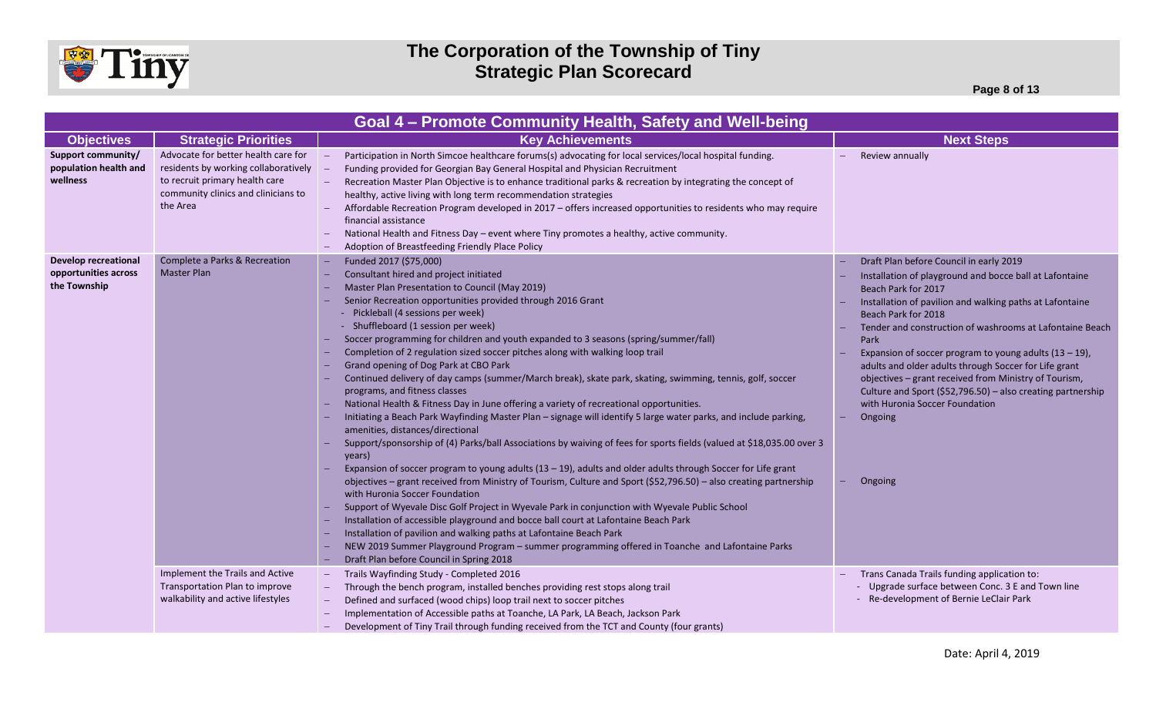

| Goal 4 – Promote Community Health, Safety and Well-being            |                                                                                                                                                                  |                                                                                                                                                                                                                                                                                                                                                                                                                                                                                                                                                                                                                                                                                                                                                                                                                                                                                                                                                                                                                                                                                                                                                                                                                                                                                                                                                                                                                                                                                                                                                                                                                                                                                                               |                                                                                                                                                                                                                                                                                                                                                                                                                                                                                                                                                                                        |  |  |
|---------------------------------------------------------------------|------------------------------------------------------------------------------------------------------------------------------------------------------------------|---------------------------------------------------------------------------------------------------------------------------------------------------------------------------------------------------------------------------------------------------------------------------------------------------------------------------------------------------------------------------------------------------------------------------------------------------------------------------------------------------------------------------------------------------------------------------------------------------------------------------------------------------------------------------------------------------------------------------------------------------------------------------------------------------------------------------------------------------------------------------------------------------------------------------------------------------------------------------------------------------------------------------------------------------------------------------------------------------------------------------------------------------------------------------------------------------------------------------------------------------------------------------------------------------------------------------------------------------------------------------------------------------------------------------------------------------------------------------------------------------------------------------------------------------------------------------------------------------------------------------------------------------------------------------------------------------------------|----------------------------------------------------------------------------------------------------------------------------------------------------------------------------------------------------------------------------------------------------------------------------------------------------------------------------------------------------------------------------------------------------------------------------------------------------------------------------------------------------------------------------------------------------------------------------------------|--|--|
| <b>Objectives</b>                                                   | <b>Strategic Priorities</b>                                                                                                                                      | <b>Key Achievements</b>                                                                                                                                                                                                                                                                                                                                                                                                                                                                                                                                                                                                                                                                                                                                                                                                                                                                                                                                                                                                                                                                                                                                                                                                                                                                                                                                                                                                                                                                                                                                                                                                                                                                                       | <b>Next Steps</b>                                                                                                                                                                                                                                                                                                                                                                                                                                                                                                                                                                      |  |  |
| Support community/<br>population health and<br>wellness             | Advocate for better health care for<br>residents by working collaboratively<br>to recruit primary health care<br>community clinics and clinicians to<br>the Area | Participation in North Simcoe healthcare forums(s) advocating for local services/local hospital funding.<br>Funding provided for Georgian Bay General Hospital and Physician Recruitment<br>Recreation Master Plan Objective is to enhance traditional parks & recreation by integrating the concept of<br>healthy, active living with long term recommendation strategies<br>Affordable Recreation Program developed in 2017 – offers increased opportunities to residents who may require<br>financial assistance<br>National Health and Fitness Day - event where Tiny promotes a healthy, active community.<br>Adoption of Breastfeeding Friendly Place Policy                                                                                                                                                                                                                                                                                                                                                                                                                                                                                                                                                                                                                                                                                                                                                                                                                                                                                                                                                                                                                                            | Review annually                                                                                                                                                                                                                                                                                                                                                                                                                                                                                                                                                                        |  |  |
| <b>Develop recreational</b><br>opportunities across<br>the Township | Complete a Parks & Recreation<br><b>Master Plan</b>                                                                                                              | Funded 2017 (\$75,000)<br>Consultant hired and project initiated<br>Master Plan Presentation to Council (May 2019)<br>Senior Recreation opportunities provided through 2016 Grant<br>- Pickleball (4 sessions per week)<br>- Shuffleboard (1 session per week)<br>Soccer programming for children and youth expanded to 3 seasons (spring/summer/fall)<br>Completion of 2 regulation sized soccer pitches along with walking loop trail<br>Grand opening of Dog Park at CBO Park<br>Continued delivery of day camps (summer/March break), skate park, skating, swimming, tennis, golf, soccer<br>programs, and fitness classes<br>National Health & Fitness Day in June offering a variety of recreational opportunities.<br>Initiating a Beach Park Wayfinding Master Plan - signage will identify 5 large water parks, and include parking,<br>amenities, distances/directional<br>Support/sponsorship of (4) Parks/ball Associations by waiving of fees for sports fields (valued at \$18,035.00 over 3<br>years)<br>Expansion of soccer program to young adults $(13 - 19)$ , adults and older adults through Soccer for Life grant<br>objectives - grant received from Ministry of Tourism, Culture and Sport (\$52,796.50) - also creating partnership<br>with Huronia Soccer Foundation<br>Support of Wyevale Disc Golf Project in Wyevale Park in conjunction with Wyevale Public School<br>Installation of accessible playground and bocce ball court at Lafontaine Beach Park<br>Installation of pavilion and walking paths at Lafontaine Beach Park<br>NEW 2019 Summer Playground Program - summer programming offered in Toanche and Lafontaine Parks<br>Draft Plan before Council in Spring 2018 | Draft Plan before Council in early 2019<br>Installation of playground and bocce ball at Lafontaine<br>Beach Park for 2017<br>Installation of pavilion and walking paths at Lafontaine<br>Beach Park for 2018<br>Tender and construction of washrooms at Lafontaine Beach<br>Park<br>Expansion of soccer program to young adults $(13 - 19)$ ,<br>adults and older adults through Soccer for Life grant<br>objectives - grant received from Ministry of Tourism,<br>Culture and Sport (\$52,796.50) - also creating partnership<br>with Huronia Soccer Foundation<br>Ongoing<br>Ongoing |  |  |
|                                                                     | Implement the Trails and Active<br>Transportation Plan to improve<br>walkability and active lifestyles                                                           | Trails Wayfinding Study - Completed 2016<br>Through the bench program, installed benches providing rest stops along trail<br>Defined and surfaced (wood chips) loop trail next to soccer pitches<br>Implementation of Accessible paths at Toanche, LA Park, LA Beach, Jackson Park<br>Development of Tiny Trail through funding received from the TCT and County (four grants)                                                                                                                                                                                                                                                                                                                                                                                                                                                                                                                                                                                                                                                                                                                                                                                                                                                                                                                                                                                                                                                                                                                                                                                                                                                                                                                                | Trans Canada Trails funding application to:<br>- Upgrade surface between Conc. 3 E and Town line<br>- Re-development of Bernie LeClair Park                                                                                                                                                                                                                                                                                                                                                                                                                                            |  |  |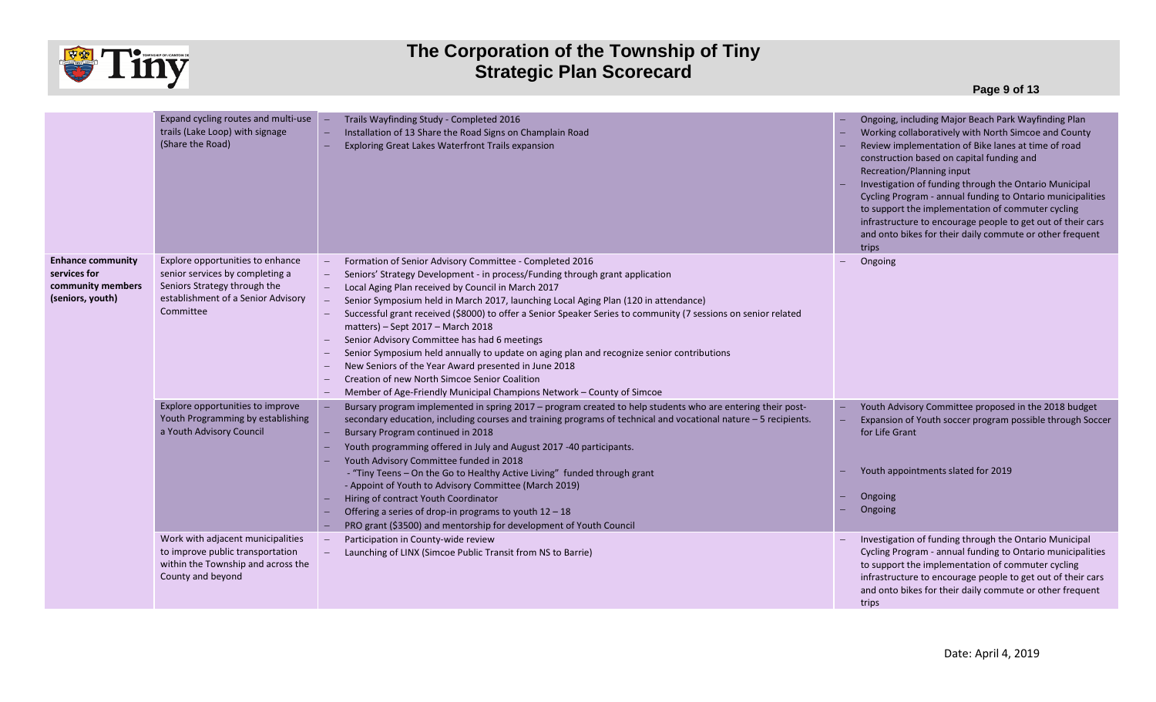

**Page 9 of 13**

|                                                                                   | Expand cycling routes and multi-use<br>trails (Lake Loop) with signage<br>(Share the Road)                                                             | Trails Wayfinding Study - Completed 2016<br>Installation of 13 Share the Road Signs on Champlain Road<br>Exploring Great Lakes Waterfront Trails expansion                                                                                                                                                                                                                                                                                                                                                                                                                                                                                                                                                                                                                                                    | Ongoing, including Major Beach Park Wayfinding Plan<br>Working collaboratively with North Simcoe and County<br>Review implementation of Bike lanes at time of road<br>construction based on capital funding and<br>Recreation/Planning input<br>Investigation of funding through the Ontario Municipal<br>Cycling Program - annual funding to Ontario municipalities<br>to support the implementation of commuter cycling<br>infrastructure to encourage people to get out of their cars<br>and onto bikes for their daily commute or other frequent<br>trips |
|-----------------------------------------------------------------------------------|--------------------------------------------------------------------------------------------------------------------------------------------------------|---------------------------------------------------------------------------------------------------------------------------------------------------------------------------------------------------------------------------------------------------------------------------------------------------------------------------------------------------------------------------------------------------------------------------------------------------------------------------------------------------------------------------------------------------------------------------------------------------------------------------------------------------------------------------------------------------------------------------------------------------------------------------------------------------------------|---------------------------------------------------------------------------------------------------------------------------------------------------------------------------------------------------------------------------------------------------------------------------------------------------------------------------------------------------------------------------------------------------------------------------------------------------------------------------------------------------------------------------------------------------------------|
| <b>Enhance community</b><br>services for<br>community members<br>(seniors, youth) | Explore opportunities to enhance<br>senior services by completing a<br>Seniors Strategy through the<br>establishment of a Senior Advisory<br>Committee | Formation of Senior Advisory Committee - Completed 2016<br>$\hspace{0.1mm}-\hspace{0.1mm}$<br>Seniors' Strategy Development - in process/Funding through grant application<br>Local Aging Plan received by Council in March 2017<br>Senior Symposium held in March 2017, launching Local Aging Plan (120 in attendance)<br>Successful grant received (\$8000) to offer a Senior Speaker Series to community (7 sessions on senior related<br>matters) - Sept 2017 - March 2018<br>Senior Advisory Committee has had 6 meetings<br>Senior Symposium held annually to update on aging plan and recognize senior contributions<br>New Seniors of the Year Award presented in June 2018<br>Creation of new North Simcoe Senior Coalition<br>Member of Age-Friendly Municipal Champions Network - County of Simcoe | Ongoing                                                                                                                                                                                                                                                                                                                                                                                                                                                                                                                                                       |
|                                                                                   | Explore opportunities to improve<br>Youth Programming by establishing<br>a Youth Advisory Council                                                      | Bursary program implemented in spring 2017 - program created to help students who are entering their post-<br>secondary education, including courses and training programs of technical and vocational nature - 5 recipients.<br>Bursary Program continued in 2018<br>Youth programming offered in July and August 2017 -40 participants.<br>Youth Advisory Committee funded in 2018<br>- "Tiny Teens - On the Go to Healthy Active Living" funded through grant<br>- Appoint of Youth to Advisory Committee (March 2019)<br>Hiring of contract Youth Coordinator<br>Offering a series of drop-in programs to youth 12 - 18<br>PRO grant (\$3500) and mentorship for development of Youth Council                                                                                                             | Youth Advisory Committee proposed in the 2018 budget<br>Expansion of Youth soccer program possible through Soccer<br>for Life Grant<br>Youth appointments slated for 2019<br>Ongoing<br>Ongoing                                                                                                                                                                                                                                                                                                                                                               |
|                                                                                   | Work with adjacent municipalities<br>to improve public transportation<br>within the Township and across the<br>County and beyond                       | Participation in County-wide review<br>Launching of LINX (Simcoe Public Transit from NS to Barrie)                                                                                                                                                                                                                                                                                                                                                                                                                                                                                                                                                                                                                                                                                                            | Investigation of funding through the Ontario Municipal<br>Cycling Program - annual funding to Ontario municipalities<br>to support the implementation of commuter cycling<br>infrastructure to encourage people to get out of their cars<br>and onto bikes for their daily commute or other frequent<br>trips                                                                                                                                                                                                                                                 |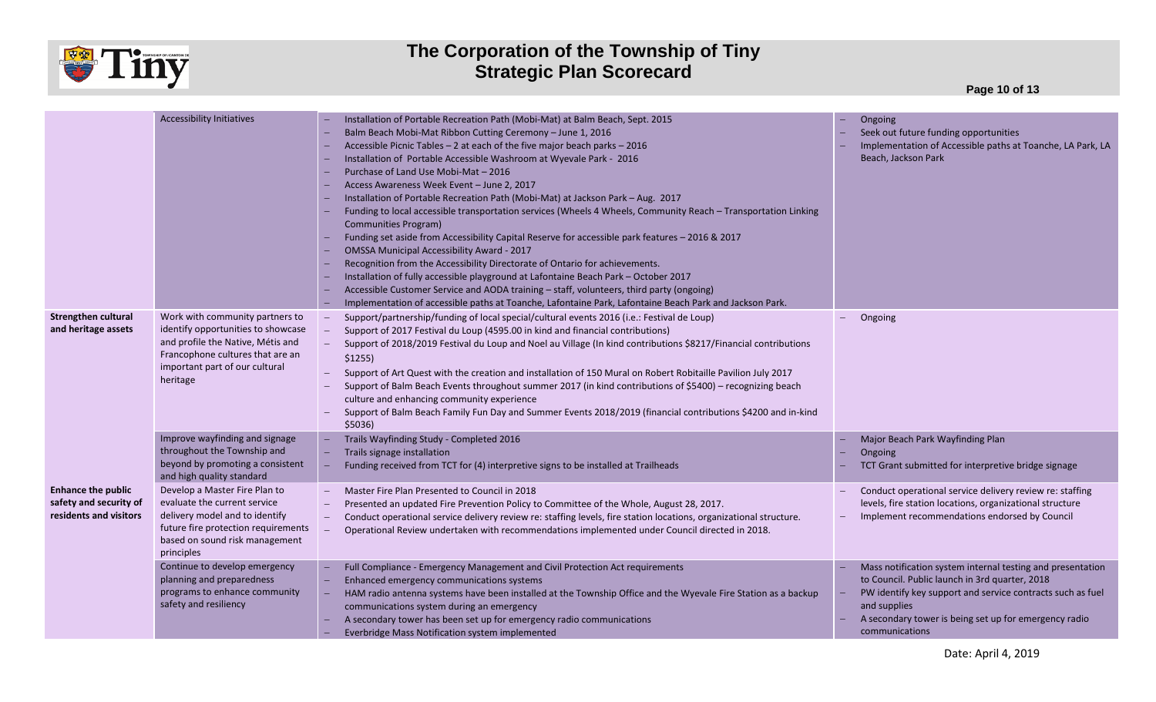

**Page 10 of 13**

|                                                                               | <b>Accessibility Initiatives</b>                                                                                                                                                             | Installation of Portable Recreation Path (Mobi-Mat) at Balm Beach, Sept. 2015<br>Balm Beach Mobi-Mat Ribbon Cutting Ceremony - June 1, 2016<br>Accessible Picnic Tables - 2 at each of the five major beach parks - 2016<br>Installation of Portable Accessible Washroom at Wyevale Park - 2016<br>Purchase of Land Use Mobi-Mat - 2016<br>Access Awareness Week Event - June 2, 2017<br>Installation of Portable Recreation Path (Mobi-Mat) at Jackson Park - Aug. 2017<br>Funding to local accessible transportation services (Wheels 4 Wheels, Community Reach - Transportation Linking<br><b>Communities Program)</b><br>Funding set aside from Accessibility Capital Reserve for accessible park features - 2016 & 2017<br>OMSSA Municipal Accessibility Award - 2017<br>Recognition from the Accessibility Directorate of Ontario for achievements.<br>Installation of fully accessible playground at Lafontaine Beach Park - October 2017<br>Accessible Customer Service and AODA training - staff, volunteers, third party (ongoing)<br>Implementation of accessible paths at Toanche, Lafontaine Park, Lafontaine Beach Park and Jackson Park. | Ongoing<br>Seek out future funding opportunities<br>Implementation of Accessible paths at Toanche, LA Park, LA<br>Beach, Jackson Park                                                                                                                                 |
|-------------------------------------------------------------------------------|----------------------------------------------------------------------------------------------------------------------------------------------------------------------------------------------|---------------------------------------------------------------------------------------------------------------------------------------------------------------------------------------------------------------------------------------------------------------------------------------------------------------------------------------------------------------------------------------------------------------------------------------------------------------------------------------------------------------------------------------------------------------------------------------------------------------------------------------------------------------------------------------------------------------------------------------------------------------------------------------------------------------------------------------------------------------------------------------------------------------------------------------------------------------------------------------------------------------------------------------------------------------------------------------------------------------------------------------------------------|-----------------------------------------------------------------------------------------------------------------------------------------------------------------------------------------------------------------------------------------------------------------------|
| <b>Strengthen cultural</b><br>and heritage assets                             | Work with community partners to<br>identify opportunities to showcase<br>and profile the Native, Métis and<br>Francophone cultures that are an<br>important part of our cultural<br>heritage | Support/partnership/funding of local special/cultural events 2016 (i.e.: Festival de Loup)<br>$\overline{\phantom{m}}$<br>Support of 2017 Festival du Loup (4595.00 in kind and financial contributions)<br>Support of 2018/2019 Festival du Loup and Noel au Village (In kind contributions \$8217/Financial contributions<br>$$1255$ )<br>Support of Art Quest with the creation and installation of 150 Mural on Robert Robitaille Pavilion July 2017<br>Support of Balm Beach Events throughout summer 2017 (in kind contributions of \$5400) - recognizing beach<br>culture and enhancing community experience<br>Support of Balm Beach Family Fun Day and Summer Events 2018/2019 (financial contributions \$4200 and in-kind<br>\$5036)                                                                                                                                                                                                                                                                                                                                                                                                          | Ongoing                                                                                                                                                                                                                                                               |
|                                                                               | Improve wayfinding and signage<br>throughout the Township and<br>beyond by promoting a consistent<br>and high quality standard                                                               | Trails Wayfinding Study - Completed 2016<br>Trails signage installation<br>Funding received from TCT for (4) interpretive signs to be installed at Trailheads                                                                                                                                                                                                                                                                                                                                                                                                                                                                                                                                                                                                                                                                                                                                                                                                                                                                                                                                                                                           | Major Beach Park Wayfinding Plan<br>Ongoing<br>TCT Grant submitted for interpretive bridge signage                                                                                                                                                                    |
| <b>Enhance the public</b><br>safety and security of<br>residents and visitors | Develop a Master Fire Plan to<br>evaluate the current service<br>delivery model and to identify<br>future fire protection requirements<br>based on sound risk management<br>principles       | Master Fire Plan Presented to Council in 2018<br>Presented an updated Fire Prevention Policy to Committee of the Whole, August 28, 2017.<br>Conduct operational service delivery review re: staffing levels, fire station locations, organizational structure.<br>Operational Review undertaken with recommendations implemented under Council directed in 2018.                                                                                                                                                                                                                                                                                                                                                                                                                                                                                                                                                                                                                                                                                                                                                                                        | Conduct operational service delivery review re: staffing<br>levels, fire station locations, organizational structure<br>Implement recommendations endorsed by Council                                                                                                 |
|                                                                               | Continue to develop emergency<br>planning and preparedness<br>programs to enhance community<br>safety and resiliency                                                                         | Full Compliance - Emergency Management and Civil Protection Act requirements<br>Enhanced emergency communications systems<br>HAM radio antenna systems have been installed at the Township Office and the Wyevale Fire Station as a backup<br>communications system during an emergency<br>A secondary tower has been set up for emergency radio communications<br>Everbridge Mass Notification system implemented                                                                                                                                                                                                                                                                                                                                                                                                                                                                                                                                                                                                                                                                                                                                      | Mass notification system internal testing and presentation<br>to Council. Public launch in 3rd quarter, 2018<br>PW identify key support and service contracts such as fuel<br>and supplies<br>A secondary tower is being set up for emergency radio<br>communications |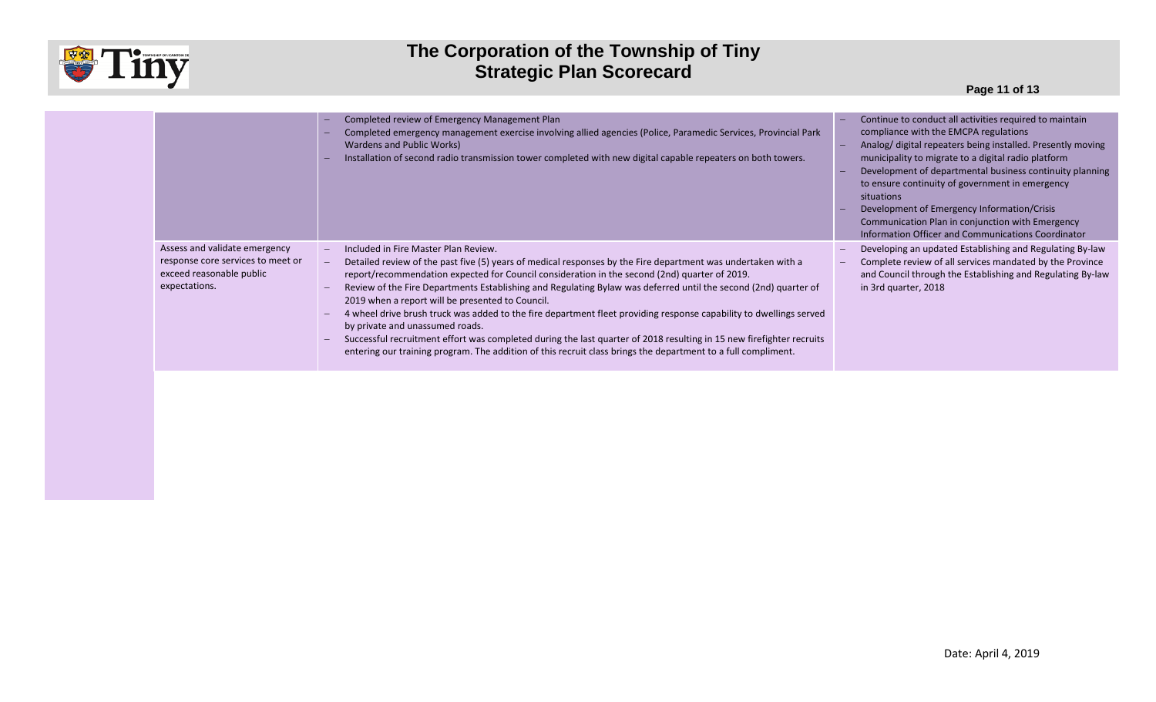

|                                                                                                                 | Completed review of Emergency Management Plan<br>Completed emergency management exercise involving allied agencies (Police, Paramedic Services, Provincial Park<br>Wardens and Public Works)<br>Installation of second radio transmission tower completed with new digital capable repeaters on both towers.                                                                                                                                                                                                                                                                                                                                                                                                                                                                                                                   | Continue to conduct all activities required to maintain<br>compliance with the EMCPA regulations<br>Analog/ digital repeaters being installed. Presently moving<br>municipality to migrate to a digital radio platform<br>Development of departmental business continuity planning<br>to ensure continuity of government in emergency<br>situations<br>Development of Emergency Information/Crisis<br>Communication Plan in conjunction with Emergency<br>Information Officer and Communications Coordinator |
|-----------------------------------------------------------------------------------------------------------------|--------------------------------------------------------------------------------------------------------------------------------------------------------------------------------------------------------------------------------------------------------------------------------------------------------------------------------------------------------------------------------------------------------------------------------------------------------------------------------------------------------------------------------------------------------------------------------------------------------------------------------------------------------------------------------------------------------------------------------------------------------------------------------------------------------------------------------|--------------------------------------------------------------------------------------------------------------------------------------------------------------------------------------------------------------------------------------------------------------------------------------------------------------------------------------------------------------------------------------------------------------------------------------------------------------------------------------------------------------|
| Assess and validate emergency<br>response core services to meet or<br>exceed reasonable public<br>expectations. | Included in Fire Master Plan Review.<br>Detailed review of the past five (5) years of medical responses by the Fire department was undertaken with a<br>report/recommendation expected for Council consideration in the second (2nd) quarter of 2019.<br>Review of the Fire Departments Establishing and Regulating Bylaw was deferred until the second (2nd) quarter of<br>2019 when a report will be presented to Council.<br>4 wheel drive brush truck was added to the fire department fleet providing response capability to dwellings served<br>by private and unassumed roads.<br>Successful recruitment effort was completed during the last quarter of 2018 resulting in 15 new firefighter recruits<br>entering our training program. The addition of this recruit class brings the department to a full compliment. | Developing an updated Establishing and Regulating By-law<br>Complete review of all services mandated by the Province<br>and Council through the Establishing and Regulating By-law<br>in 3rd quarter, 2018                                                                                                                                                                                                                                                                                                   |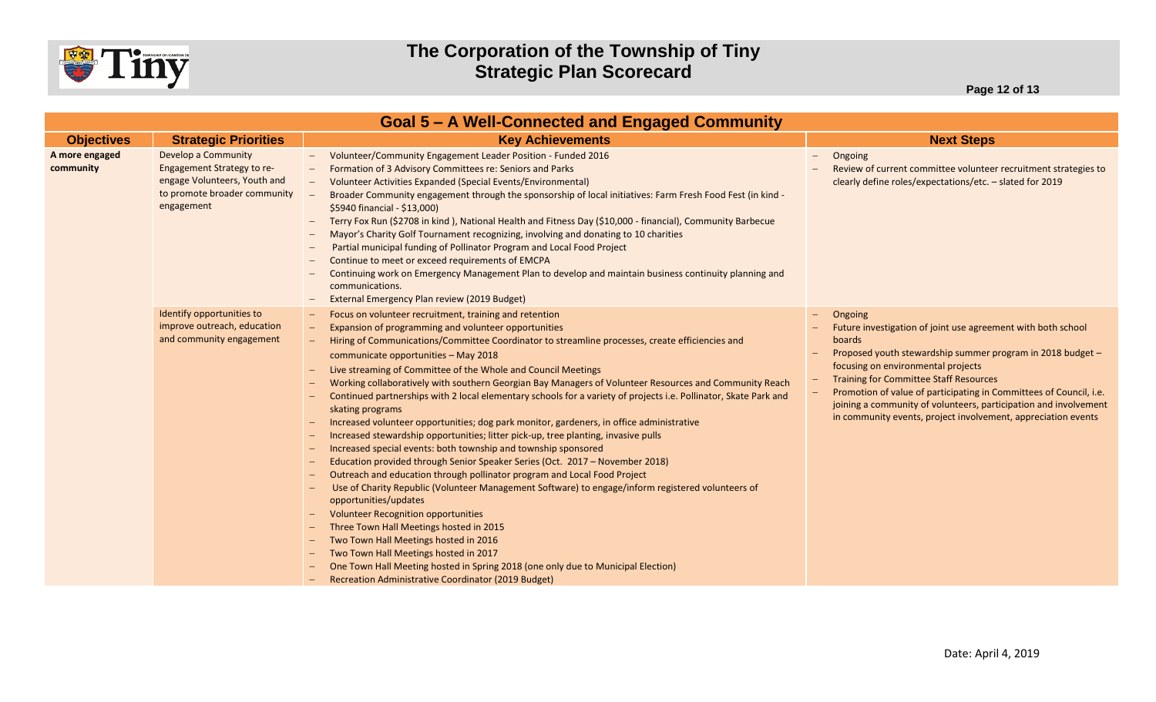

|                             | <b>Goal 5 – A Well-Connected and Engaged Community</b>                                                                          |                                                                                                                                                                                                                                                                                                                                                                                                                                                                                                                                                                                                                                                                                                                                                                                                                                                                                                                                                                                                                                                                                                                                                                                                                                                                                                                                                                                                                                                  |                                                                                                                                                                                                                                                                                                                                                                                                                                                          |  |  |  |  |
|-----------------------------|---------------------------------------------------------------------------------------------------------------------------------|--------------------------------------------------------------------------------------------------------------------------------------------------------------------------------------------------------------------------------------------------------------------------------------------------------------------------------------------------------------------------------------------------------------------------------------------------------------------------------------------------------------------------------------------------------------------------------------------------------------------------------------------------------------------------------------------------------------------------------------------------------------------------------------------------------------------------------------------------------------------------------------------------------------------------------------------------------------------------------------------------------------------------------------------------------------------------------------------------------------------------------------------------------------------------------------------------------------------------------------------------------------------------------------------------------------------------------------------------------------------------------------------------------------------------------------------------|----------------------------------------------------------------------------------------------------------------------------------------------------------------------------------------------------------------------------------------------------------------------------------------------------------------------------------------------------------------------------------------------------------------------------------------------------------|--|--|--|--|
| <b>Objectives</b>           | <b>Strategic Priorities</b>                                                                                                     | <b>Key Achievements</b>                                                                                                                                                                                                                                                                                                                                                                                                                                                                                                                                                                                                                                                                                                                                                                                                                                                                                                                                                                                                                                                                                                                                                                                                                                                                                                                                                                                                                          | <b>Next Steps</b>                                                                                                                                                                                                                                                                                                                                                                                                                                        |  |  |  |  |
| A more engaged<br>community | Develop a Community<br>Engagement Strategy to re-<br>engage Volunteers, Youth and<br>to promote broader community<br>engagement | Volunteer/Community Engagement Leader Position - Funded 2016<br>$\sim$ $-$<br>Formation of 3 Advisory Committees re: Seniors and Parks<br>Volunteer Activities Expanded (Special Events/Environmental)<br>Broader Community engagement through the sponsorship of local initiatives: Farm Fresh Food Fest (in kind -<br>\$5940 financial - \$13,000)<br>Terry Fox Run (\$2708 in kind), National Health and Fitness Day (\$10,000 - financial), Community Barbecue<br>Mayor's Charity Golf Tournament recognizing, involving and donating to 10 charities<br>Partial municipal funding of Pollinator Program and Local Food Project<br>Continue to meet or exceed requirements of EMCPA<br>Continuing work on Emergency Management Plan to develop and maintain business continuity planning and<br>communications.<br>External Emergency Plan review (2019 Budget)                                                                                                                                                                                                                                                                                                                                                                                                                                                                                                                                                                              | Ongoing<br>$\qquad \qquad -$<br>Review of current committee volunteer recruitment strategies to<br>clearly define roles/expectations/etc. - slated for 2019                                                                                                                                                                                                                                                                                              |  |  |  |  |
|                             | Identify opportunities to<br>improve outreach, education<br>and community engagement                                            | Focus on volunteer recruitment, training and retention<br>Expansion of programming and volunteer opportunities<br>Hiring of Communications/Committee Coordinator to streamline processes, create efficiencies and<br>communicate opportunities - May 2018<br>Live streaming of Committee of the Whole and Council Meetings<br>Working collaboratively with southern Georgian Bay Managers of Volunteer Resources and Community Reach<br>Continued partnerships with 2 local elementary schools for a variety of projects i.e. Pollinator, Skate Park and<br>skating programs<br>Increased volunteer opportunities; dog park monitor, gardeners, in office administrative<br>Increased stewardship opportunities; litter pick-up, tree planting, invasive pulls<br>Increased special events: both township and township sponsored<br>Education provided through Senior Speaker Series (Oct. 2017 - November 2018)<br>Outreach and education through pollinator program and Local Food Project<br>Use of Charity Republic (Volunteer Management Software) to engage/inform registered volunteers of<br>opportunities/updates<br><b>Volunteer Recognition opportunities</b><br>Three Town Hall Meetings hosted in 2015<br>Two Town Hall Meetings hosted in 2016<br>Two Town Hall Meetings hosted in 2017<br>One Town Hall Meeting hosted in Spring 2018 (one only due to Municipal Election)<br>Recreation Administrative Coordinator (2019 Budget) | Ongoing<br>Future investigation of joint use agreement with both school<br><b>boards</b><br>Proposed youth stewardship summer program in 2018 budget -<br>focusing on environmental projects<br><b>Training for Committee Staff Resources</b><br>Promotion of value of participating in Committees of Council, i.e.<br>joining a community of volunteers, participation and involvement<br>in community events, project involvement, appreciation events |  |  |  |  |